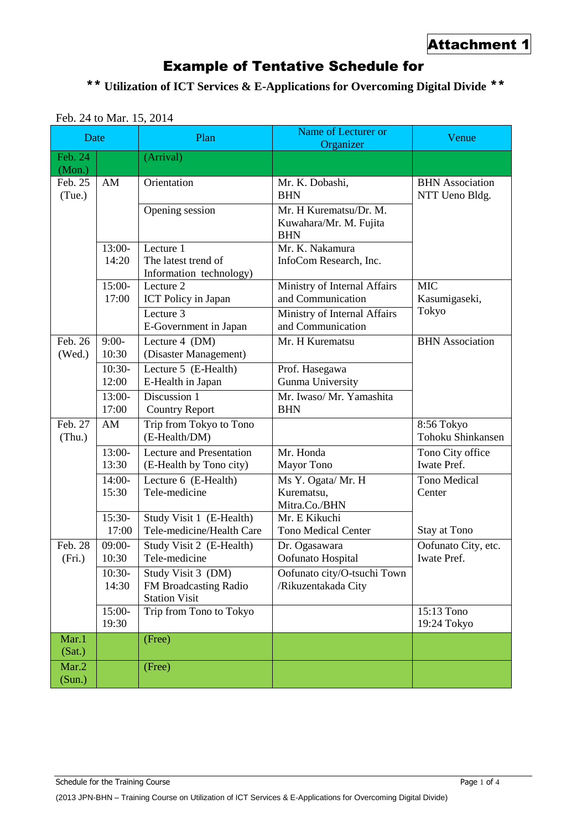## Example of Tentative Schedule for

\*\* **Utilization of ICT Services & E-Applications for Overcoming Digital Divide** \*\*

| Date              |                   | Plan                                                                | Name of Lecturer or<br>Organizer                               | Venue                                    |
|-------------------|-------------------|---------------------------------------------------------------------|----------------------------------------------------------------|------------------------------------------|
| Feb. 24<br>(Mon.) |                   | (Arrival)                                                           |                                                                |                                          |
| Feb. 25<br>(Tue.) | AM                | Orientation                                                         | Mr. K. Dobashi,<br><b>BHN</b>                                  | <b>BHN</b> Association<br>NTT Ueno Bldg. |
|                   |                   | Opening session                                                     | Mr. H Kurematsu/Dr. M.<br>Kuwahara/Mr. M. Fujita<br><b>BHN</b> |                                          |
|                   | $13:00-$<br>14:20 | Lecture 1<br>The latest trend of<br>Information technology)         | Mr. K. Nakamura<br>InfoCom Research, Inc.                      |                                          |
|                   | 15:00-<br>17:00   | Lecture 2<br>ICT Policy in Japan                                    | Ministry of Internal Affairs<br>and Communication              | <b>MIC</b><br>Kasumigaseki,              |
|                   |                   | Lecture 3<br>E-Government in Japan                                  | Ministry of Internal Affairs<br>and Communication              | Tokyo                                    |
| Feb. 26<br>(Wed.) | $9:00-$<br>10:30  | Lecture 4 (DM)<br>(Disaster Management)                             | Mr. H Kurematsu                                                | <b>BHN</b> Association                   |
|                   | $10:30-$<br>12:00 | Lecture 5 (E-Health)<br>E-Health in Japan                           | Prof. Hasegawa<br><b>Gunma University</b>                      |                                          |
|                   | 13:00-<br>17:00   | Discussion 1<br><b>Country Report</b>                               | Mr. Iwaso/ Mr. Yamashita<br><b>BHN</b>                         |                                          |
| Feb. 27<br>(Thu.) | AM                | Trip from Tokyo to Tono<br>(E-Health/DM)                            |                                                                | 8:56 Tokyo<br>Tohoku Shinkansen          |
|                   | $13:00-$<br>13:30 | <b>Lecture and Presentation</b><br>(E-Health by Tono city)          | Mr. Honda<br>Mayor Tono                                        | Tono City office<br>Iwate Pref.          |
|                   | 14:00-<br>15:30   | Lecture 6 (E-Health)<br>Tele-medicine                               | Ms Y. Ogata/ Mr. H<br>Kurematsu,<br>Mitra.Co./BHN              | Tono Medical<br>Center                   |
|                   | 15:30-<br>17:00   | Study Visit 1 (E-Health)<br>Tele-medicine/Health Care               | Mr. E Kikuchi<br><b>Tono Medical Center</b>                    | <b>Stay at Tono</b>                      |
| Feb. 28<br>(Fri.) | $09:00-$<br>10:30 | Study Visit 2 (E-Health)<br>Tele-medicine                           | Dr. Ogasawara<br>Oofunato Hospital                             | Oofunato City, etc.<br>Iwate Pref.       |
|                   | 10:30-<br>14:30   | Study Visit 3 (DM)<br>FM Broadcasting Radio<br><b>Station Visit</b> | Oofunato city/O-tsuchi Town<br>/Rikuzentakada City             |                                          |
|                   | 15:00-<br>19:30   | Trip from Tono to Tokyo                                             |                                                                | 15:13 Tono<br>19:24 Tokyo                |
| Mar.1<br>(Sat.)   |                   | (Free)                                                              |                                                                |                                          |
| Mar.2<br>(Sun.)   |                   | (Free)                                                              |                                                                |                                          |

## Feb. 24 to Mar. 15, 2014

Schedule for the Training Course Page 1 of 4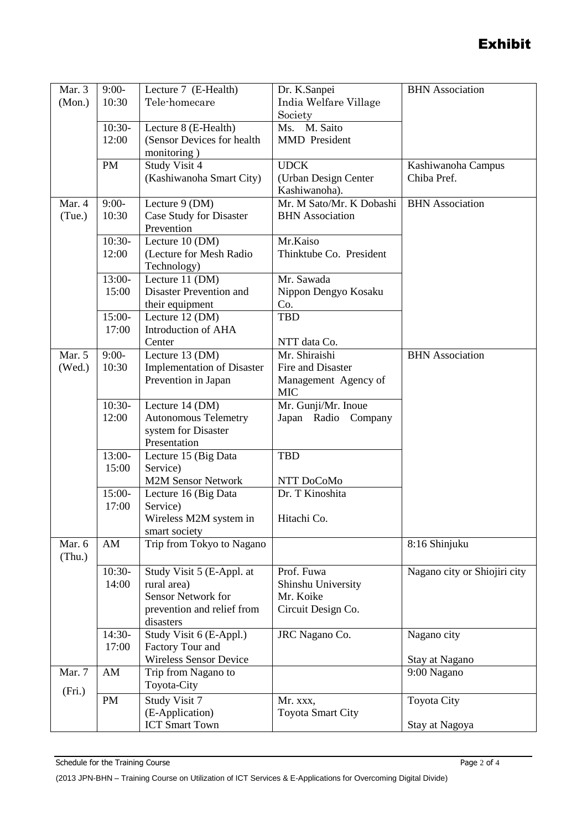## Exhibit

| Mar. 3 | $9:00-$   | Lecture 7 (E-Health)              | Dr. K.Sanpei             | <b>BHN</b> Association       |
|--------|-----------|-----------------------------------|--------------------------|------------------------------|
| (Mon.) | 10:30     | Tele-homecare                     | India Welfare Village    |                              |
|        |           |                                   | Society                  |                              |
|        | $10:30-$  | Lecture 8 (E-Health)              | Ms. M. Saito             |                              |
|        | 12:00     | (Sensor Devices for health        | <b>MMD</b> President     |                              |
|        |           | monitoring)                       |                          |                              |
|        | <b>PM</b> | Study Visit 4                     | <b>UDCK</b>              | Kashiwanoha Campus           |
|        |           | (Kashiwanoha Smart City)          | (Urban Design Center     | Chiba Pref.                  |
|        |           |                                   | Kashiwanoha).            |                              |
| Mar. 4 | $9:00-$   | Lecture 9 (DM)                    | Mr. M Sato/Mr. K Dobashi | <b>BHN</b> Association       |
| (Tue.) | 10:30     | Case Study for Disaster           | <b>BHN</b> Association   |                              |
|        |           | Prevention                        |                          |                              |
|        | $10:30-$  | Lecture 10 (DM)                   | Mr.Kaiso                 |                              |
|        | 12:00     | (Lecture for Mesh Radio           | Thinktube Co. President  |                              |
|        |           | Technology)                       |                          |                              |
|        | 13:00-    | Lecture 11 (DM)                   | Mr. Sawada               |                              |
|        | 15:00     | Disaster Prevention and           | Nippon Dengyo Kosaku     |                              |
|        |           | their equipment                   | Co.                      |                              |
|        | 15:00-    | Lecture 12 (DM)                   | <b>TBD</b>               |                              |
|        | 17:00     | Introduction of AHA               |                          |                              |
|        |           | Center                            | NTT data Co.             |                              |
| Mar. 5 | $9:00-$   | Lecture 13 (DM)                   | Mr. Shiraishi            | <b>BHN</b> Association       |
| (Wed.) | 10:30     | <b>Implementation of Disaster</b> | Fire and Disaster        |                              |
|        |           | Prevention in Japan               | Management Agency of     |                              |
|        |           |                                   | <b>MIC</b>               |                              |
|        | $10:30-$  | Lecture 14 (DM)                   | Mr. Gunji/Mr. Inoue      |                              |
|        | 12:00     | <b>Autonomous Telemetry</b>       | Japan Radio Company      |                              |
|        |           | system for Disaster               |                          |                              |
|        |           | Presentation                      |                          |                              |
|        | 13:00-    | Lecture 15 (Big Data              | <b>TBD</b>               |                              |
|        | 15:00     | Service)                          |                          |                              |
|        |           | <b>M2M Sensor Network</b>         | NTT DoCoMo               |                              |
|        | 15:00-    | Lecture 16 (Big Data              | Dr. T Kinoshita          |                              |
|        | 17:00     | Service)                          |                          |                              |
|        |           | Wireless M2M system in            | Hitachi Co.              |                              |
|        |           | smart society                     |                          |                              |
| Mar. 6 | AM        | Trip from Tokyo to Nagano         |                          | 8:16 Shinjuku                |
| (Thu.) |           |                                   |                          |                              |
|        | $10:30-$  | Study Visit 5 (E-Appl. at         | Prof. Fuwa               | Nagano city or Shiojiri city |
|        | 14:00     | rural area)                       | Shinshu University       |                              |
|        |           | <b>Sensor Network for</b>         | Mr. Koike                |                              |
|        |           | prevention and relief from        | Circuit Design Co.       |                              |
|        |           | disasters                         |                          |                              |
|        | 14:30-    | Study Visit 6 (E-Appl.)           | JRC Nagano Co.           | Nagano city                  |
|        | 17:00     | Factory Tour and                  |                          |                              |
|        |           | Wireless Sensor Device            |                          | Stay at Nagano               |
| Mar. 7 | AM        | Trip from Nagano to               |                          | 9:00 Nagano                  |
| (Fri.) |           | Toyota-City                       |                          |                              |
|        | PM        | Study Visit 7                     | Mr. xxx,                 | <b>Toyota City</b>           |
|        |           | (E-Application)                   | <b>Toyota Smart City</b> |                              |
|        |           | <b>ICT Smart Town</b>             |                          | Stay at Nagoya               |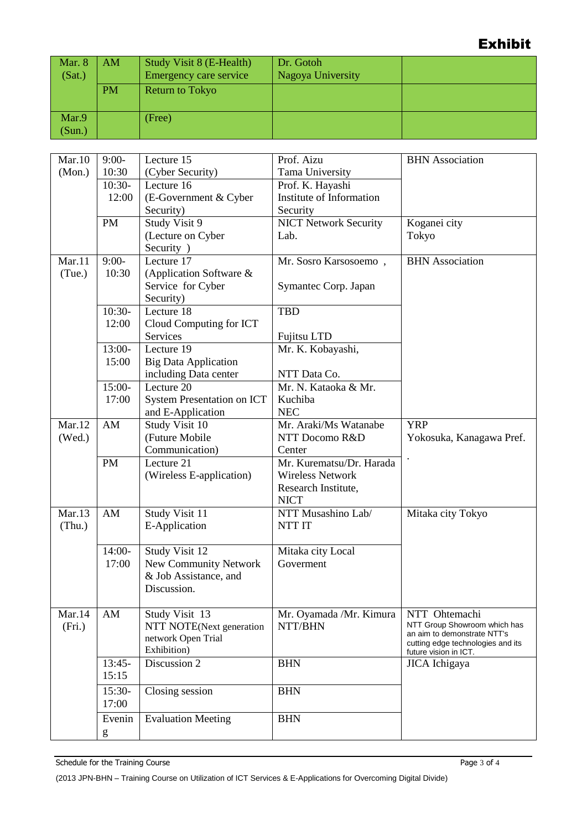## Exhibit

| Mar. 8          | AM        | <b>Study Visit 8 (E-Health)</b> | Dr. Gotoh         |  |
|-----------------|-----------|---------------------------------|-------------------|--|
| (Sat.)          |           | <b>Emergency care service</b>   | Nagoya University |  |
|                 | <b>PM</b> | <b>Return to Tokyo</b>          |                   |  |
| Mar.9<br>(Sun.) |           | (Free)                          |                   |  |

| Mar.10 | $9:00-$   | Lecture $15$                      | Prof. Aizu                   | <b>BHN</b> Association                        |
|--------|-----------|-----------------------------------|------------------------------|-----------------------------------------------|
| (Mon.) | 10:30     | (Cyber Security)                  | Tama University              |                                               |
|        | $10:30-$  | Lecture 16                        | Prof. K. Hayashi             |                                               |
|        | 12:00     | (E-Government & Cyber             | Institute of Information     |                                               |
|        |           | Security)                         | Security                     |                                               |
|        | <b>PM</b> | Study Visit 9                     | <b>NICT Network Security</b> | Koganei city                                  |
|        |           | (Lecture on Cyber                 | Lab.                         | Tokyo                                         |
|        |           | Security )                        |                              |                                               |
| Mar.11 | $9:00-$   | Lecture $17$                      | Mr. Sosro Karsosoemo,        | <b>BHN</b> Association                        |
| (Tue.) | 10:30     | (Application Software &           |                              |                                               |
|        |           | Service for Cyber                 | Symantec Corp. Japan         |                                               |
|        |           | Security)                         |                              |                                               |
|        | $10:30-$  | Lecture 18                        | <b>TBD</b>                   |                                               |
|        | 12:00     | Cloud Computing for ICT           |                              |                                               |
|        |           | Services                          | Fujitsu LTD                  |                                               |
|        | 13:00-    | Lecture 19                        | Mr. K. Kobayashi,            |                                               |
|        | 15:00     | <b>Big Data Application</b>       |                              |                                               |
|        |           | including Data center             | NTT Data Co.                 |                                               |
|        | 15:00-    | Lecture 20                        | Mr. N. Kataoka & Mr.         |                                               |
|        | 17:00     | <b>System Presentation on ICT</b> | Kuchiba                      |                                               |
|        |           | and E-Application                 | <b>NEC</b>                   |                                               |
| Mar.12 | AM        | Study Visit 10                    | Mr. Araki/Ms Watanabe        | <b>YRP</b>                                    |
| (Wed.) |           | (Future Mobile                    | NTT Docomo R&D               | Yokosuka, Kanagawa Pref.                      |
|        |           | Communication)                    | Center                       |                                               |
|        | <b>PM</b> | Lecture 21                        | Mr. Kurematsu/Dr. Harada     |                                               |
|        |           | (Wireless E-application)          | <b>Wireless Network</b>      |                                               |
|        |           |                                   | Research Institute,          |                                               |
|        |           |                                   | <b>NICT</b>                  |                                               |
| Mar.13 | AM        | Study Visit 11                    | NTT Musashino Lab/           | Mitaka city Tokyo                             |
| (Thu.) |           | E-Application                     | NTT IT                       |                                               |
|        |           |                                   |                              |                                               |
|        | $14:00-$  | Study Visit 12                    | Mitaka city Local            |                                               |
|        | 17:00     | New Community Network             | Goverment                    |                                               |
|        |           | & Job Assistance, and             |                              |                                               |
|        |           | Discussion.                       |                              |                                               |
|        |           |                                   |                              |                                               |
| Mar.14 | AM        | Study Visit 13                    | Mr. Oyamada /Mr. Kimura      | NTT Ohtemachi<br>NTT Group Showroom which has |
| (Fri.) |           | NTT NOTE(Next generation          | NTT/BHN                      | an aim to demonstrate NTT's                   |
|        |           | network Open Trial<br>Exhibition) |                              | cutting edge technologies and its             |
|        | $13:45-$  | Discussion 2                      | <b>BHN</b>                   | future vision in ICT.<br>JICA Ichigaya        |
|        | 15:15     |                                   |                              |                                               |
|        |           |                                   |                              |                                               |
|        | $15:30-$  | Closing session                   | <b>BHN</b>                   |                                               |
|        | 17:00     |                                   |                              |                                               |
|        | Evenin    | <b>Evaluation Meeting</b>         | <b>BHN</b>                   |                                               |
|        | g         |                                   |                              |                                               |